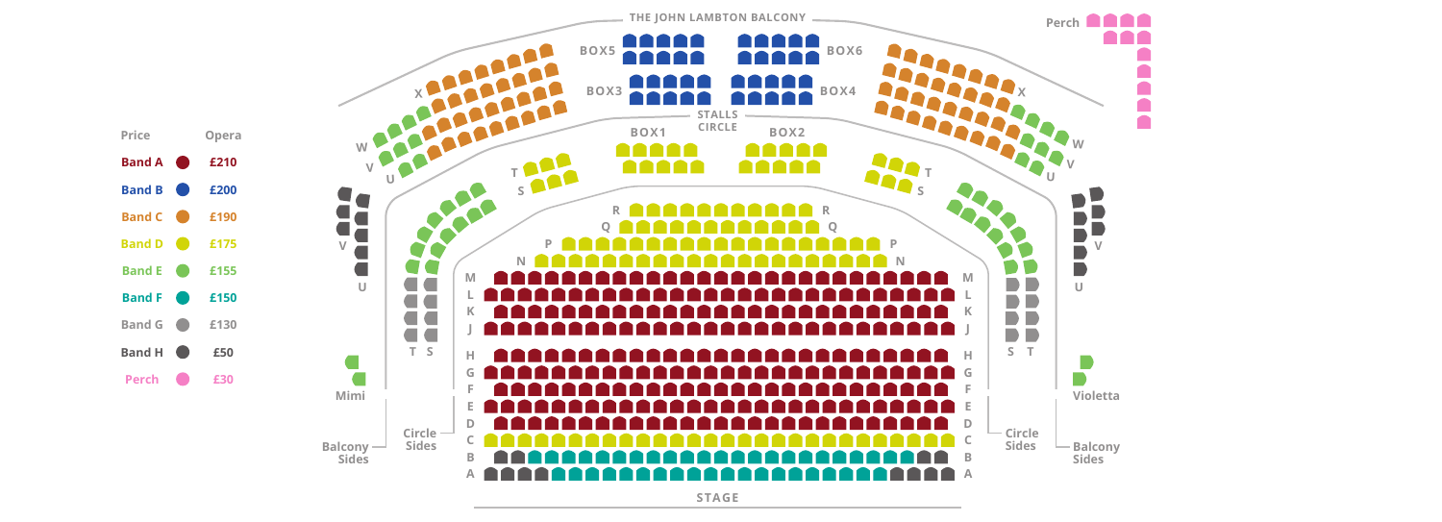

**STAGE**